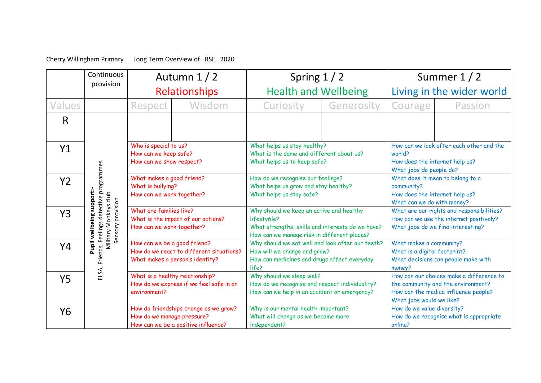Cherry Willingham Primary Long Term Overview of RSE 2020

|                | Continuous<br>provision                                                | Autumn $1/2$                                                                                                |                                                                              | Spring $1/2$                                                                                                                                               |            | Summer 1/2                                                                                                      |                                                                                                                           |
|----------------|------------------------------------------------------------------------|-------------------------------------------------------------------------------------------------------------|------------------------------------------------------------------------------|------------------------------------------------------------------------------------------------------------------------------------------------------------|------------|-----------------------------------------------------------------------------------------------------------------|---------------------------------------------------------------------------------------------------------------------------|
|                |                                                                        | <b>Relationships</b>                                                                                        |                                                                              | <b>Health and Wellbeing</b>                                                                                                                                |            | Living in the wider world                                                                                       |                                                                                                                           |
| Values         |                                                                        | Respect                                                                                                     | Wisdom                                                                       | Curiosity                                                                                                                                                  | Generosity | Courage                                                                                                         | Passion                                                                                                                   |
| $\mathsf{R}$   |                                                                        |                                                                                                             |                                                                              |                                                                                                                                                            |            |                                                                                                                 |                                                                                                                           |
| Y1             |                                                                        | Who is special to us?<br>How can we keep safe?<br>How can we show respect?                                  |                                                                              | What helps us stay healthy?<br>What is the same and different about us?<br>What helps us to keep safe?                                                     |            | How can we look after each other and the<br>world?<br>How does the internet help us?<br>What jobs do people do? |                                                                                                                           |
| Y <sub>2</sub> | Friends, Feelings detective programmes                                 | What makes a good friend?<br>What is bullying?<br>How can we work together?                                 |                                                                              | How do we recognise our feelings?<br>What helps us grow and stay healthy?<br>What helps us stay safe?                                                      |            | What does it mean to belong to a<br>community?<br>How does the internet help us?<br>What can we do with money?  |                                                                                                                           |
| Y3             | Pupil wellbeing support:<br>Military Monkeys club<br>Sensory provision | What are families like?<br>What is the impact of our actions?<br>How can we work together?                  |                                                                              | Why should we keep an active and healthy<br>lifesty6le?<br>What strengths, skills and interests do we have?<br>How can we manage risk in different places? |            |                                                                                                                 | What are our rights and responsibilities?<br>How can we use the internet positively?<br>What jobs do we find interesting? |
| Υ4             |                                                                        | How can we be a good friend?<br>How do we react to different situations?<br>What makes a person's identity? |                                                                              | Why should we eat well and look after our teeth?<br>How will we change and grow?<br>How can medicines and drugs affect everyday<br>life?                   |            | What makes a community?<br>What is a digital footprint?<br>What decisions can people make with<br>money?        |                                                                                                                           |
| <b>Y5</b>      | ELSA,                                                                  | What is a healthy relationship?<br>environment?                                                             | How do we express if we feel safe in an                                      | Why should we sleep well?<br>How do we recognise and respect individuality?<br>How can we help in an accident or emergency?                                |            | What jobs would we like?                                                                                        | How can our choices make a difference to<br>the community and the environment?<br>How can the medica influence people?    |
| Y <sub>6</sub> |                                                                        | How do we manage pressure?                                                                                  | How do friendships change as we grow?<br>How can we be a positive influence? | Why is our mental health important?<br>What will change as we become more<br>independent?                                                                  |            | How do we value diversity?<br>online?                                                                           | How do we recognise what is appropriate                                                                                   |